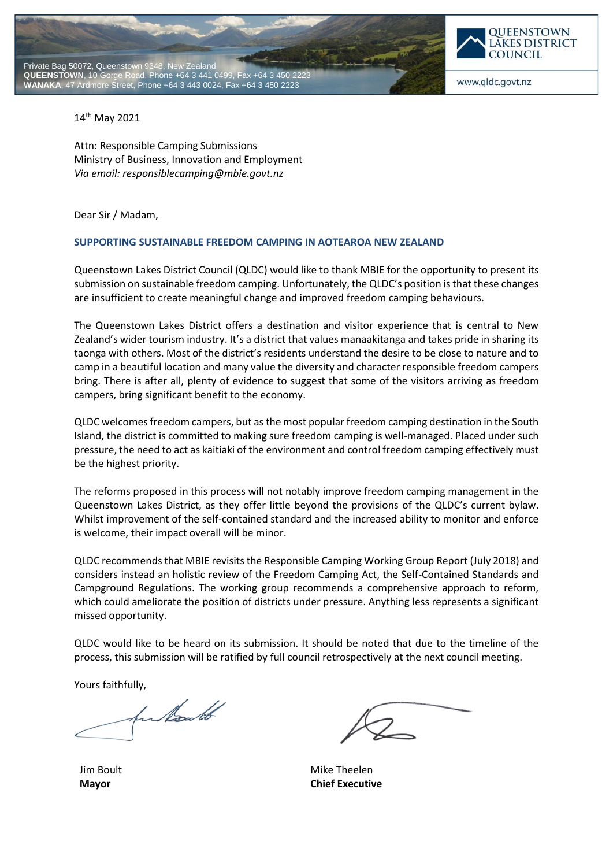



www.qldc.govt.nz

14th May 2021

Attn: Responsible Camping Submissions Ministry of Business, Innovation and Employment *Via email: responsiblecamping@mbie.govt.nz*

Dear Sir / Madam,

## **SUPPORTING SUSTAINABLE FREEDOM CAMPING IN AOTEAROA NEW ZEALAND**

Queenstown Lakes District Council (QLDC) would like to thank MBIE for the opportunity to present its submission on sustainable freedom camping. Unfortunately, the QLDC's position is that these changes are insufficient to create meaningful change and improved freedom camping behaviours.

The Queenstown Lakes District offers a destination and visitor experience that is central to New Zealand's wider tourism industry. It's a district that values manaakitanga and takes pride in sharing its taonga with others. Most of the district's residents understand the desire to be close to nature and to camp in a beautiful location and many value the diversity and character responsible freedom campers bring. There is after all, plenty of evidence to suggest that some of the visitors arriving as freedom campers, bring significant benefit to the economy.

QLDC welcomes freedom campers, but as the most popular freedom camping destination in the South Island, the district is committed to making sure freedom camping is well-managed. Placed under such pressure, the need to act as kaitiaki of the environment and control freedom camping effectively must be the highest priority.

The reforms proposed in this process will not notably improve freedom camping management in the Queenstown Lakes District, as they offer little beyond the provisions of the QLDC's current bylaw. Whilst improvement of the self-contained standard and the increased ability to monitor and enforce is welcome, their impact overall will be minor.

QLDC recommends that MBIE revisits the Responsible Camping Working Group Report (July 2018) and considers instead an holistic review of the Freedom Camping Act, the Self-Contained Standards and Campground Regulations. The working group recommends a comprehensive approach to reform, which could ameliorate the position of districts under pressure. Anything less represents a significant missed opportunity.

QLDC would like to be heard on its submission. It should be noted that due to the timeline of the process, this submission will be ratified by full council retrospectively at the next council meeting.

Yours faithfully,

In North

Jim Boult **Mayor**

Mike Theelen **Chief Executive**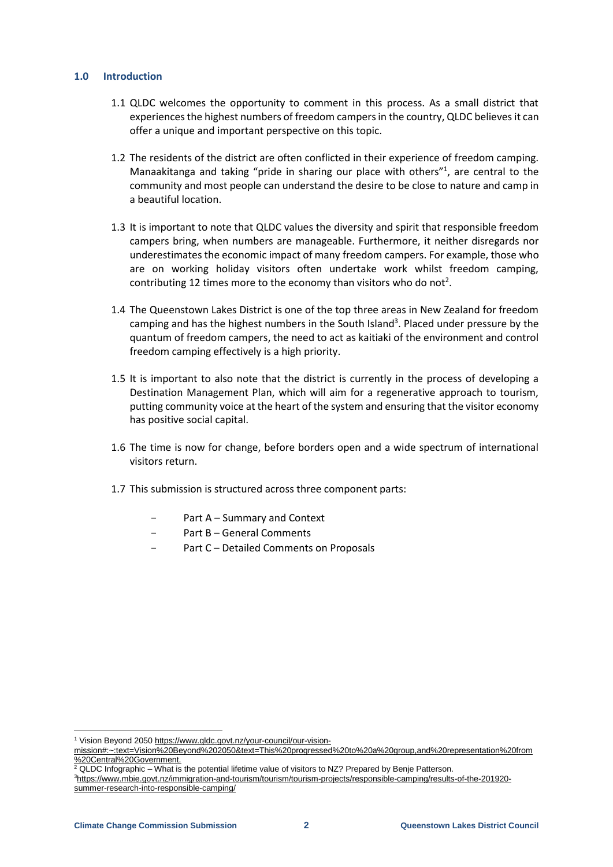### **1.0 Introduction**

- 1.1 QLDC welcomes the opportunity to comment in this process. As a small district that experiences the highest numbers of freedom campers in the country, QLDC believes it can offer a unique and important perspective on this topic.
- 1.2 The residents of the district are often conflicted in their experience of freedom camping. Manaakitanga and taking "pride in sharing our place with others"<sup>1</sup>, are central to the community and most people can understand the desire to be close to nature and camp in a beautiful location.
- 1.3 It is important to note that QLDC values the diversity and spirit that responsible freedom campers bring, when numbers are manageable. Furthermore, it neither disregards nor underestimates the economic impact of many freedom campers. For example, those who are on working holiday visitors often undertake work whilst freedom camping, contributing 12 times more to the economy than visitors who do not<sup>2</sup>.
- 1.4 The Queenstown Lakes District is one of the top three areas in New Zealand for freedom camping and has the highest numbers in the South Island<sup>3</sup>. Placed under pressure by the quantum of freedom campers, the need to act as kaitiaki of the environment and control freedom camping effectively is a high priority.
- 1.5 It is important to also note that the district is currently in the process of developing a Destination Management Plan, which will aim for a regenerative approach to tourism, putting community voice at the heart of the system and ensuring that the visitor economy has positive social capital.
- 1.6 The time is now for change, before borders open and a wide spectrum of international visitors return.
- 1.7 This submission is structured across three component parts:
	- Part A Summary and Context
	- Part B General Comments
	- Part C Detailed Comments on Proposals

<sup>1</sup> Vision Beyond 2050 [https://www.qldc.govt.nz/your-council/our-vision-](https://www.qldc.govt.nz/your-council/our-vision-mission%23:~:text=Vision%20Beyond%202050&text=This%20progressed%20to%20a%20group,and%20representation%20from%20Central%20Government.)

[mission#:~:text=Vision%20Beyond%202050&text=This%20progressed%20to%20a%20group,and%20representation%20from](https://www.qldc.govt.nz/your-council/our-vision-mission%23:~:text=Vision%20Beyond%202050&text=This%20progressed%20to%20a%20group,and%20representation%20from%20Central%20Government.) [%20Central%20Government.](https://www.qldc.govt.nz/your-council/our-vision-mission%23:~:text=Vision%20Beyond%202050&text=This%20progressed%20to%20a%20group,and%20representation%20from%20Central%20Government.)

 $\frac{2}{2}$  QLDC Infographic – What is the potential lifetime value of visitors to NZ? Prepared by Benje Patterson.

<sup>3</sup>[https://www.mbie.govt.nz/immigration-and-tourism/tourism/tourism-projects/responsible-camping/results-of-the-201920](https://www.mbie.govt.nz/immigration-and-tourism/tourism/tourism-projects/responsible-camping/results-of-the-201920-summer-research-into-responsible-camping/) [summer-research-into-responsible-camping/](https://www.mbie.govt.nz/immigration-and-tourism/tourism/tourism-projects/responsible-camping/results-of-the-201920-summer-research-into-responsible-camping/)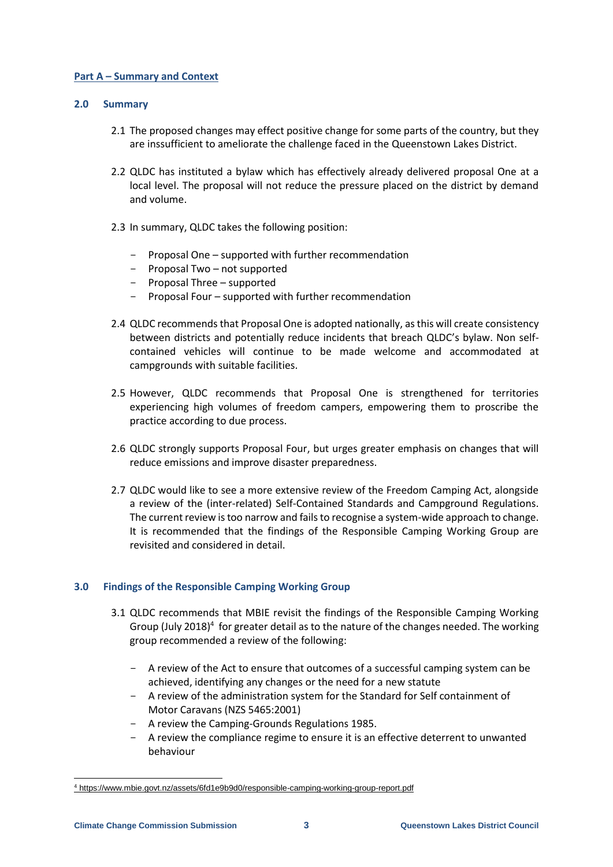### **Part A – Summary and Context**

### **2.0 Summary**

- 2.1 The proposed changes may effect positive change for some parts of the country, but they are inssufficient to ameliorate the challenge faced in the Queenstown Lakes District.
- 2.2 QLDC has instituted a bylaw which has effectively already delivered proposal One at a local level. The proposal will not reduce the pressure placed on the district by demand and volume.
- 2.3 In summary, QLDC takes the following position:
	- Proposal One supported with further recommendation
	- Proposal Two not supported
	- Proposal Three supported
	- Proposal Four supported with further recommendation
- 2.4 QLDC recommends that Proposal One is adopted nationally, as this will create consistency between districts and potentially reduce incidents that breach QLDC's bylaw. Non selfcontained vehicles will continue to be made welcome and accommodated at campgrounds with suitable facilities.
- 2.5 However, QLDC recommends that Proposal One is strengthened for territories experiencing high volumes of freedom campers, empowering them to proscribe the practice according to due process.
- 2.6 QLDC strongly supports Proposal Four, but urges greater emphasis on changes that will reduce emissions and improve disaster preparedness.
- 2.7 QLDC would like to see a more extensive review of the Freedom Camping Act, alongside a review of the (inter-related) Self-Contained Standards and Campground Regulations. The current review is too narrow and fails to recognise a system-wide approach to change. It is recommended that the findings of the Responsible Camping Working Group are revisited and considered in detail.

## **3.0 Findings of the Responsible Camping Working Group**

- 3.1 QLDC recommends that MBIE revisit the findings of the Responsible Camping Working Group (July 2018)<sup>4</sup> for greater detail as to the nature of the changes needed. The working group recommended a review of the following:
	- A review of the Act to ensure that outcomes of a successful camping system can be achieved, identifying any changes or the need for a new statute
	- A review of the administration system for the Standard for Self containment of Motor Caravans (NZS 5465:2001)
	- A review the Camping-Grounds Regulations 1985.
	- A review the compliance regime to ensure it is an effective deterrent to unwanted behaviour

-

<sup>4</sup> <https://www.mbie.govt.nz/assets/6fd1e9b9d0/responsible-camping-working-group-report.pdf>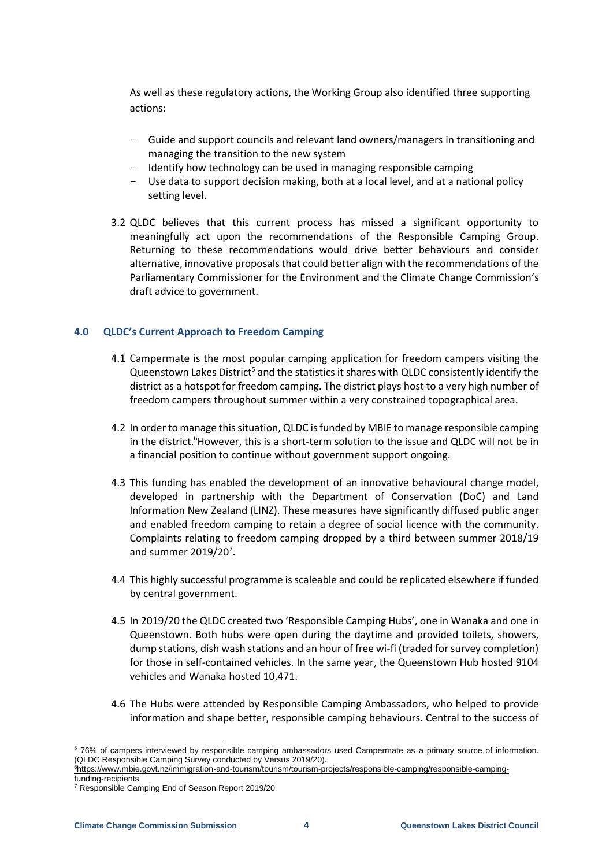As well as these regulatory actions, the Working Group also identified three supporting actions:

- Guide and support councils and relevant land owners/managers in transitioning and managing the transition to the new system
- Identify how technology can be used in managing responsible camping
- Use data to support decision making, both at a local level, and at a national policy setting level.
- 3.2 QLDC believes that this current process has missed a significant opportunity to meaningfully act upon the recommendations of the Responsible Camping Group. Returning to these recommendations would drive better behaviours and consider alternative, innovative proposals that could better align with the recommendations of the Parliamentary Commissioner for the Environment and the Climate Change Commission's draft advice to government.

# **4.0 QLDC's Current Approach to Freedom Camping**

- 4.1 Campermate is the most popular camping application for freedom campers visiting the Queenstown Lakes District<sup>5</sup> and the statistics it shares with QLDC consistently identify the district as a hotspot for freedom camping. The district plays host to a very high number of freedom campers throughout summer within a very constrained topographical area.
- 4.2 In order to manage this situation, QLDC is funded by MBIE to manage responsible camping in the district.<sup>6</sup>However, this is a short-term solution to the issue and QLDC will not be in a financial position to continue without government support ongoing.
- 4.3 This funding has enabled the development of an innovative behavioural change model, developed in partnership with the Department of Conservation (DoC) and Land Information New Zealand (LINZ). These measures have significantly diffused public anger and enabled freedom camping to retain a degree of social licence with the community. Complaints relating to freedom camping dropped by a third between summer 2018/19 and summer 2019/20<sup>7</sup>.
- 4.4 This highly successful programme is scaleable and could be replicated elsewhere if funded by central government.
- 4.5 In 2019/20 the QLDC created two 'Responsible Camping Hubs', one in Wanaka and one in Queenstown. Both hubs were open during the daytime and provided toilets, showers, dump stations, dish wash stations and an hour of free wi-fi (traded for survey completion) for those in self-contained vehicles. In the same year, the Queenstown Hub hosted 9104 vehicles and Wanaka hosted 10,471.
- 4.6 The Hubs were attended by Responsible Camping Ambassadors, who helped to provide information and shape better, responsible camping behaviours. Central to the success of

<sup>-</sup><sup>5</sup> 76% of campers interviewed by responsible camping ambassadors used Campermate as a primary source of information. (QLDC Responsible Camping Survey conducted by Versus 2019/20).

<sup>6</sup>[https://www.mbie.govt.nz/immigration-and-tourism/tourism/tourism-projects/responsible-camping/responsible-camping](https://www.mbie.govt.nz/immigration-and-tourism/tourism/tourism-projects/responsible-camping/responsible-camping-funding-recipients)[funding-recipients](https://www.mbie.govt.nz/immigration-and-tourism/tourism/tourism-projects/responsible-camping/responsible-camping-funding-recipients)

<sup>7</sup> Responsible Camping End of Season Report 2019/20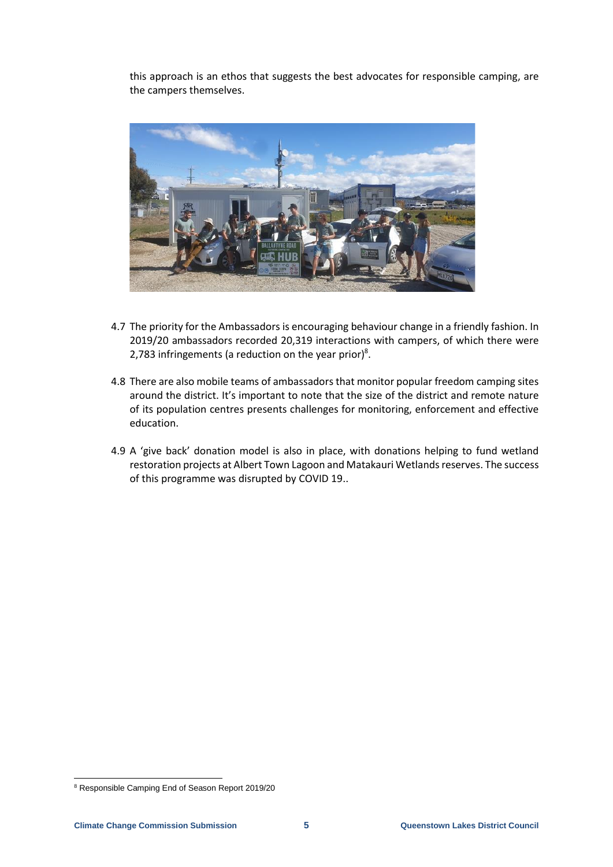this approach is an ethos that suggests the best advocates for responsible camping, are the campers themselves.



- 4.7 The priority for the Ambassadors is encouraging behaviour change in a friendly fashion. In 2019/20 ambassadors recorded 20,319 interactions with campers, of which there were 2,783 infringements (a reduction on the year prior)<sup>8</sup>.
- 4.8 There are also mobile teams of ambassadors that monitor popular freedom camping sites around the district. It's important to note that the size of the district and remote nature of its population centres presents challenges for monitoring, enforcement and effective education.
- 4.9 A 'give back' donation model is also in place, with donations helping to fund wetland restoration projects at Albert Town Lagoon and Matakauri Wetlands reserves. The success of this programme was disrupted by COVID 19..

-

<sup>8</sup> Responsible Camping End of Season Report 2019/20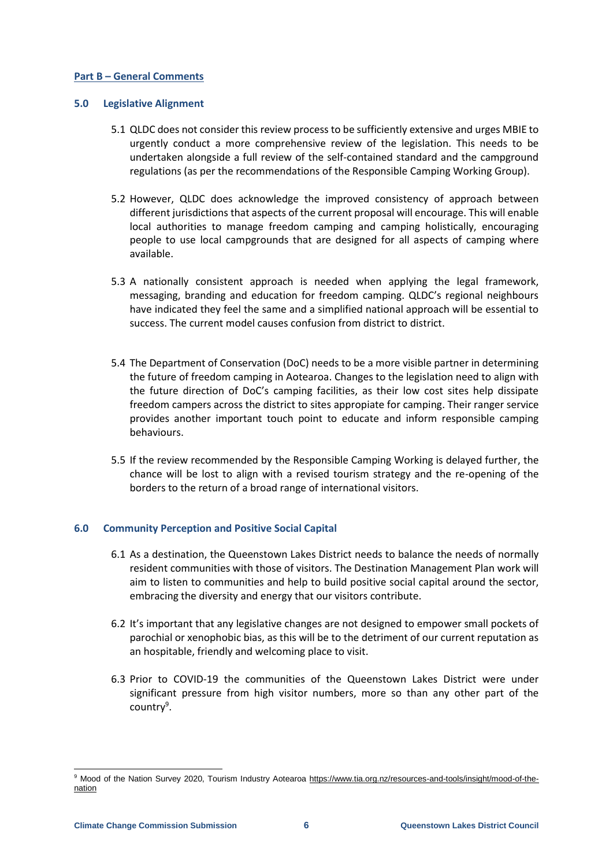### **Part B – General Comments**

### **5.0 Legislative Alignment**

- 5.1 QLDC does not consider this review process to be sufficiently extensive and urges MBIE to urgently conduct a more comprehensive review of the legislation. This needs to be undertaken alongside a full review of the self-contained standard and the campground regulations (as per the recommendations of the Responsible Camping Working Group).
- 5.2 However, QLDC does acknowledge the improved consistency of approach between different jurisdictions that aspects of the current proposal will encourage. This will enable local authorities to manage freedom camping and camping holistically, encouraging people to use local campgrounds that are designed for all aspects of camping where available.
- 5.3 A nationally consistent approach is needed when applying the legal framework, messaging, branding and education for freedom camping. QLDC's regional neighbours have indicated they feel the same and a simplified national approach will be essential to success. The current model causes confusion from district to district.
- 5.4 The Department of Conservation (DoC) needs to be a more visible partner in determining the future of freedom camping in Aotearoa. Changes to the legislation need to align with the future direction of DoC's camping facilities, as their low cost sites help dissipate freedom campers across the district to sites appropiate for camping. Their ranger service provides another important touch point to educate and inform responsible camping behaviours.
- 5.5 If the review recommended by the Responsible Camping Working is delayed further, the chance will be lost to align with a revised tourism strategy and the re-opening of the borders to the return of a broad range of international visitors.

## **6.0 Community Perception and Positive Social Capital**

- 6.1 As a destination, the Queenstown Lakes District needs to balance the needs of normally resident communities with those of visitors. The Destination Management Plan work will aim to listen to communities and help to build positive social capital around the sector, embracing the diversity and energy that our visitors contribute.
- 6.2 It's important that any legislative changes are not designed to empower small pockets of parochial or xenophobic bias, as this will be to the detriment of our current reputation as an hospitable, friendly and welcoming place to visit.
- 6.3 Prior to COVID-19 the communities of the Queenstown Lakes District were under significant pressure from high visitor numbers, more so than any other part of the country<sup>9</sup>.

<sup>9</sup> Mood of the Nation Survey 2020, Tourism Industry Aotearoa [https://www.tia.org.nz/resources-and-tools/insight/mood-of-the](https://www.tia.org.nz/resources-and-tools/insight/mood-of-the-nation)[nation](https://www.tia.org.nz/resources-and-tools/insight/mood-of-the-nation)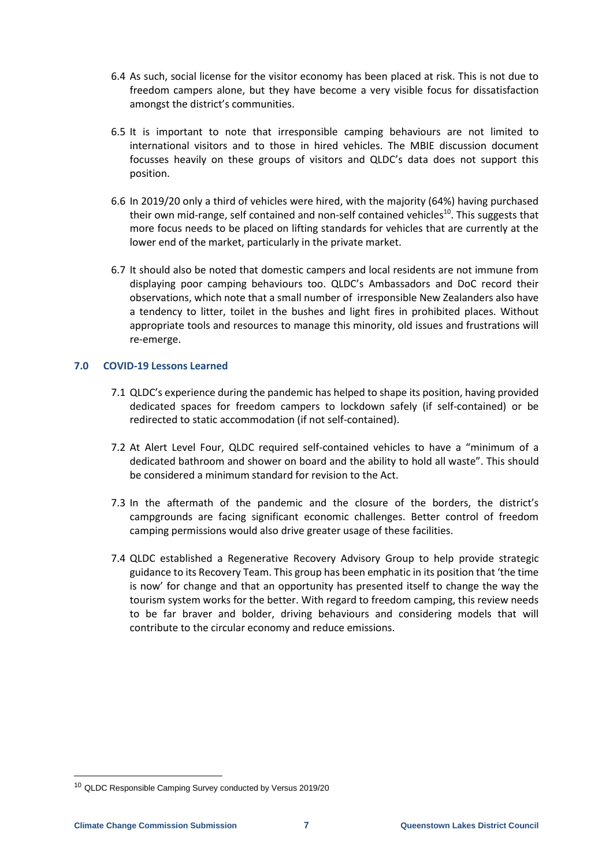- 6.4 As such, social license for the visitor economy has been placed at risk. This is not due to freedom campers alone, but they have become a very visible focus for dissatisfaction amongst the district's communities.
- 6.5 It is important to note that irresponsible camping behaviours are not limited to international visitors and to those in hired vehicles. The MBIE discussion document focusses heavily on these groups of visitors and QLDC's data does not support this position.
- 6.6 In 2019/20 only a third of vehicles were hired, with the majority (64%) having purchased their own mid-range, self contained and non-self contained vehicles<sup>10</sup>. This suggests that more focus needs to be placed on lifting standards for vehicles that are currently at the lower end of the market, particularly in the private market.
- 6.7 It should also be noted that domestic campers and local residents are not immune from displaying poor camping behaviours too. QLDC's Ambassadors and DoC record their observations, which note that a small number of irresponsible New Zealanders also have a tendency to litter, toilet in the bushes and light fires in prohibited places. Without appropriate tools and resources to manage this minority, old issues and frustrations will re-emerge.

### **7.0 COVID-19 Lessons Learned**

- 7.1 QLDC's experience during the pandemic has helped to shape its position, having provided dedicated spaces for freedom campers to lockdown safely (if self-contained) or be redirected to static accommodation (if not self-contained).
- 7.2 At Alert Level Four, QLDC required self-contained vehicles to have a "minimum of a dedicated bathroom and shower on board and the ability to hold all waste". This should be considered a minimum standard for revision to the Act.
- 7.3 In the aftermath of the pandemic and the closure of the borders, the district's campgrounds are facing significant economic challenges. Better control of freedom camping permissions would also drive greater usage of these facilities.
- 7.4 QLDC established a Regenerative Recovery Advisory Group to help provide strategic guidance to its Recovery Team. This group has been emphatic in its position that 'the time is now' for change and that an opportunity has presented itself to change the way the tourism system works for the better. With regard to freedom camping, this review needs to be far braver and bolder, driving behaviours and considering models that will contribute to the circular economy and reduce emissions.

-

<sup>10</sup> QLDC Responsible Camping Survey conducted by Versus 2019/20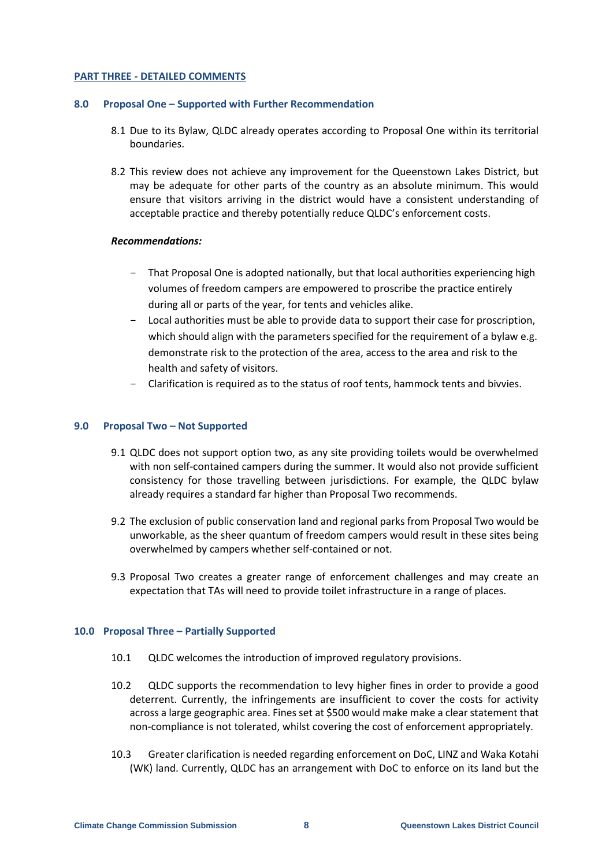### **PART THREE - DETAILED COMMENTS**

#### **8.0 Proposal One – Supported with Further Recommendation**

- 8.1 Due to its Bylaw, QLDC already operates according to Proposal One within its territorial boundaries.
- 8.2 This review does not achieve any improvement for the Queenstown Lakes District, but may be adequate for other parts of the country as an absolute minimum. This would ensure that visitors arriving in the district would have a consistent understanding of acceptable practice and thereby potentially reduce QLDC's enforcement costs.

#### *Recommendations:*

- That Proposal One is adopted nationally, but that local authorities experiencing high volumes of freedom campers are empowered to proscribe the practice entirely during all or parts of the year, for tents and vehicles alike.
- Local authorities must be able to provide data to support their case for proscription, which should align with the parameters specified for the requirement of a bylaw e.g. demonstrate risk to the protection of the area, access to the area and risk to the health and safety of visitors.
- Clarification is required as to the status of roof tents, hammock tents and bivvies.

#### **9.0 Proposal Two – Not Supported**

- 9.1 QLDC does not support option two, as any site providing toilets would be overwhelmed with non self-contained campers during the summer. It would also not provide sufficient consistency for those travelling between jurisdictions. For example, the QLDC bylaw already requires a standard far higher than Proposal Two recommends.
- 9.2 The exclusion of public conservation land and regional parks from Proposal Two would be unworkable, as the sheer quantum of freedom campers would result in these sites being overwhelmed by campers whether self-contained or not.
- 9.3 Proposal Two creates a greater range of enforcement challenges and may create an expectation that TAs will need to provide toilet infrastructure in a range of places.

#### **10.0 Proposal Three – Partially Supported**

- 10.1 QLDC welcomes the introduction of improved regulatory provisions.
- 10.2 QLDC supports the recommendation to levy higher fines in order to provide a good deterrent. Currently, the infringements are insufficient to cover the costs for activity across a large geographic area. Fines set at \$500 would make make a clear statement that non-compliance is not tolerated, whilst covering the cost of enforcement appropriately.
- 10.3 Greater clarification is needed regarding enforcement on DoC, LINZ and Waka Kotahi (WK) land. Currently, QLDC has an arrangement with DoC to enforce on its land but the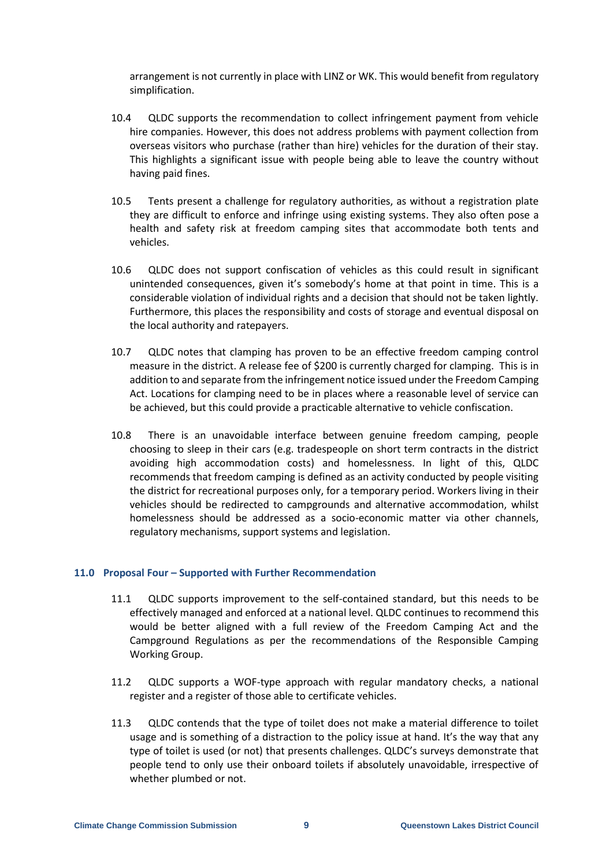arrangement is not currently in place with LINZ or WK. This would benefit from regulatory simplification.

- 10.4 QLDC supports the recommendation to collect infringement payment from vehicle hire companies. However, this does not address problems with payment collection from overseas visitors who purchase (rather than hire) vehicles for the duration of their stay. This highlights a significant issue with people being able to leave the country without having paid fines.
- 10.5 Tents present a challenge for regulatory authorities, as without a registration plate they are difficult to enforce and infringe using existing systems. They also often pose a health and safety risk at freedom camping sites that accommodate both tents and vehicles.
- 10.6 QLDC does not support confiscation of vehicles as this could result in significant unintended consequences, given it's somebody's home at that point in time. This is a considerable violation of individual rights and a decision that should not be taken lightly. Furthermore, this places the responsibility and costs of storage and eventual disposal on the local authority and ratepayers.
- 10.7 QLDC notes that clamping has proven to be an effective freedom camping control measure in the district. A release fee of \$200 is currently charged for clamping. This is in addition to and separate from the infringement notice issued under the Freedom Camping Act. Locations for clamping need to be in places where a reasonable level of service can be achieved, but this could provide a practicable alternative to vehicle confiscation.
- 10.8 There is an unavoidable interface between genuine freedom camping, people choosing to sleep in their cars (e.g. tradespeople on short term contracts in the district avoiding high accommodation costs) and homelessness. In light of this, QLDC recommends that freedom camping is defined as an activity conducted by people visiting the district for recreational purposes only, for a temporary period. Workers living in their vehicles should be redirected to campgrounds and alternative accommodation, whilst homelessness should be addressed as a socio-economic matter via other channels, regulatory mechanisms, support systems and legislation.

## **11.0 Proposal Four – Supported with Further Recommendation**

- 11.1 QLDC supports improvement to the self-contained standard, but this needs to be effectively managed and enforced at a national level. QLDC continues to recommend this would be better aligned with a full review of the Freedom Camping Act and the Campground Regulations as per the recommendations of the Responsible Camping Working Group.
- 11.2 QLDC supports a WOF-type approach with regular mandatory checks, a national register and a register of those able to certificate vehicles.
- 11.3 QLDC contends that the type of toilet does not make a material difference to toilet usage and is something of a distraction to the policy issue at hand. It's the way that any type of toilet is used (or not) that presents challenges. QLDC's surveys demonstrate that people tend to only use their onboard toilets if absolutely unavoidable, irrespective of whether plumbed or not.